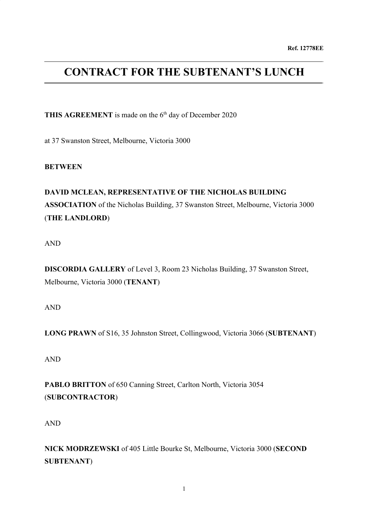# **CONTRACT FOR THE SUBTENANT'S LUNCH**

THIS AGREEMENT is made on the 6<sup>th</sup> day of December 2020

at 37 Swanston Street, Melbourne, Victoria 3000

**BETWEEN**

## **DAVID MCLEAN, REPRESENTATIVE OF THE NICHOLAS BUILDING ASSOCIATION** of the Nicholas Building, 37 Swanston Street, Melbourne, Victoria 3000 (**THE LANDLORD**)

AND

**DISCORDIA GALLERY** of Level 3, Room 23 Nicholas Building, 37 Swanston Street, Melbourne, Victoria 3000 (**TENANT**)

AND

**LONG PRAWN** of S16, 35 Johnston Street, Collingwood, Victoria 3066 (**SUBTENANT**)

AND

**PABLO BRITTON** of 650 Canning Street, Carlton North, Victoria 3054 (**SUBCONTRACTOR**)

AND

**NICK MODRZEWSKI** of 405 Little Bourke St, Melbourne, Victoria 3000 (**SECOND SUBTENANT**)

1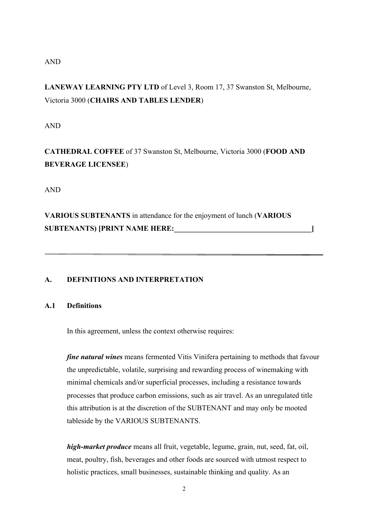## AND

**LANEWAY LEARNING PTY LTD** of Level 3, Room 17, 37 Swanston St, Melbourne, Victoria 3000 (**CHAIRS AND TABLES LENDER**)

AND

**CATHEDRAL COFFEE** of 37 Swanston St, Melbourne, Victoria 3000 (**FOOD AND BEVERAGE LICENSEE**)

AND

**VARIOUS SUBTENANTS** in attendance for the enjoyment of lunch (**VARIOUS SUBTENANTS) [PRINT NAME HERE:\_\_\_\_\_\_\_\_\_\_\_\_\_\_\_\_\_\_\_\_\_\_\_\_\_\_\_\_\_\_\_\_\_\_\_\_\_]**

## **A. DEFINITIONS AND INTERPRETATION**

## **A.1 Definitions**

In this agreement, unless the context otherwise requires:

*fine natural wines* means fermented Vitis Vinifera pertaining to methods that favour the unpredictable, volatile, surprising and rewarding process of winemaking with minimal chemicals and/or superficial processes, including a resistance towards processes that produce carbon emissions, such as air travel. As an unregulated title this attribution is at the discretion of the SUBTENANT and may only be mooted tableside by the VARIOUS SUBTENANTS.

*high-market produce* means all fruit, vegetable, legume, grain, nut, seed, fat, oil, meat, poultry, fish, beverages and other foods are sourced with utmost respect to holistic practices, small businesses, sustainable thinking and quality. As an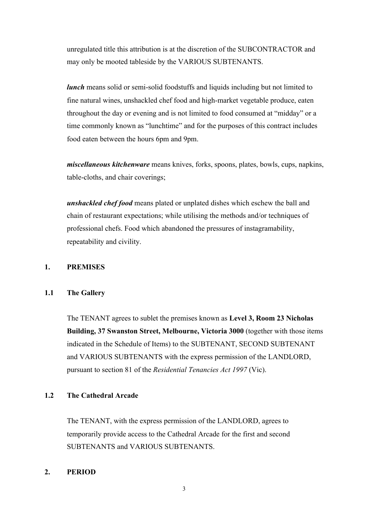unregulated title this attribution is at the discretion of the SUBCONTRACTOR and may only be mooted tableside by the VARIOUS SUBTENANTS.

*lunch* means solid or semi-solid foodstuffs and liquids including but not limited to fine natural wines, unshackled chef food and high-market vegetable produce, eaten throughout the day or evening and is not limited to food consumed at "midday" or a time commonly known as "lunchtime" and for the purposes of this contract includes food eaten between the hours 6pm and 9pm.

*miscellaneous kitchenware* means knives, forks, spoons, plates, bowls, cups, napkins, table-cloths, and chair coverings;

*unshackled chef food* means plated or unplated dishes which eschew the ball and chain of restaurant expectations; while utilising the methods and/or techniques of professional chefs. Food which abandoned the pressures of instagramability, repeatability and civility.

#### **1. PREMISES**

#### **1.1 The Gallery**

The TENANT agrees to sublet the premises known as **Level 3, Room 23 Nicholas Building, 37 Swanston Street, Melbourne, Victoria 3000** (together with those items indicated in the Schedule of Items) to the SUBTENANT, SECOND SUBTENANT and VARIOUS SUBTENANTS with the express permission of the LANDLORD, pursuant to section 81 of the *Residential Tenancies Act 1997* (Vic).

#### **1.2 The Cathedral Arcade**

The TENANT, with the express permission of the LANDLORD, agrees to temporarily provide access to the Cathedral Arcade for the first and second SUBTENANTS and VARIOUS SUBTENANTS.

#### **2. PERIOD**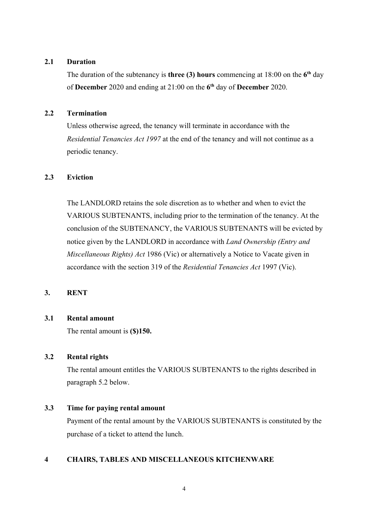#### **2.1 Duration**

The duration of the subtenancy is **three (3) hours** commencing at 18:00 on the 6<sup>th</sup> day of **December** 2020 and ending at 21:00 on the **6 th** day of **December** 2020.

#### **2.2 Termination**

Unless otherwise agreed, the tenancy will terminate in accordance with the *Residential Tenancies Act 1997* at the end of the tenancy and will not continue as a periodic tenancy.

## **2.3 Eviction**

The LANDLORD retains the sole discretion as to whether and when to evict the VARIOUS SUBTENANTS, including prior to the termination of the tenancy. At the conclusion of the SUBTENANCY, the VARIOUS SUBTENANTS will be evicted by notice given by the LANDLORD in accordance with *Land Ownership (Entry and Miscellaneous Rights) Act* 1986 (Vic) or alternatively a Notice to Vacate given in accordance with the section 319 of the *Residential Tenancies Act* 1997 (Vic).

#### **3. RENT**

#### **3.1 Rental amount**

The rental amount is **(\$)150.**

#### **3.2 Rental rights**

The rental amount entitles the VARIOUS SUBTENANTS to the rights described in paragraph 5.2 below.

#### **3.3 Time for paying rental amount**

Payment of the rental amount by the VARIOUS SUBTENANTS is constituted by the purchase of a ticket to attend the lunch.

#### **4 CHAIRS, TABLES AND MISCELLANEOUS KITCHENWARE**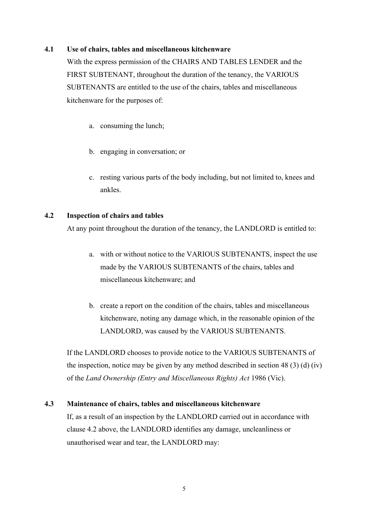#### **4.1 Use of chairs, tables and miscellaneous kitchenware**

With the express permission of the CHAIRS AND TABLES LENDER and the FIRST SUBTENANT, throughout the duration of the tenancy, the VARIOUS SUBTENANTS are entitled to the use of the chairs, tables and miscellaneous kitchenware for the purposes of:

- a. consuming the lunch;
- b. engaging in conversation; or
- c. resting various parts of the body including, but not limited to, knees and ankles.

#### **4.2 Inspection of chairs and tables**

At any point throughout the duration of the tenancy, the LANDLORD is entitled to:

- a. with or without notice to the VARIOUS SUBTENANTS, inspect the use made by the VARIOUS SUBTENANTS of the chairs, tables and miscellaneous kitchenware; and
- b. create a report on the condition of the chairs, tables and miscellaneous kitchenware, noting any damage which, in the reasonable opinion of the LANDLORD, was caused by the VARIOUS SUBTENANTS.

If the LANDLORD chooses to provide notice to the VARIOUS SUBTENANTS of the inspection, notice may be given by any method described in section 48 (3) (d) (iv) of the *Land Ownership (Entry and Miscellaneous Rights) Act* 1986 (Vic).

#### **4.3 Maintenance of chairs, tables and miscellaneous kitchenware**

If, as a result of an inspection by the LANDLORD carried out in accordance with clause 4.2 above, the LANDLORD identifies any damage, uncleanliness or unauthorised wear and tear, the LANDLORD may: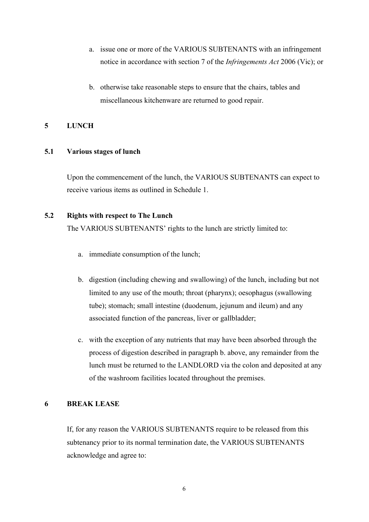- a. issue one or more of the VARIOUS SUBTENANTS with an infringement notice in accordance with section 7 of the *Infringements Act* 2006 (Vic); or
- b. otherwise take reasonable steps to ensure that the chairs, tables and miscellaneous kitchenware are returned to good repair.

#### **5 LUNCH**

#### **5.1 Various stages of lunch**

Upon the commencement of the lunch, the VARIOUS SUBTENANTS can expect to receive various items as outlined in Schedule 1.

### **5.2 Rights with respect to The Lunch**

The VARIOUS SUBTENANTS' rights to the lunch are strictly limited to:

- a. immediate consumption of the lunch;
- b. digestion (including chewing and swallowing) of the lunch, including but not limited to any use of the mouth; throat (pharynx); oesophagus (swallowing tube); stomach; small intestine (duodenum, jejunum and ileum) and any associated function of the pancreas, liver or gallbladder;
- c. with the exception of any nutrients that may have been absorbed through the process of digestion described in paragraph b. above, any remainder from the lunch must be returned to the LANDLORD via the colon and deposited at any of the washroom facilities located throughout the premises.

### **6 BREAK LEASE**

If, for any reason the VARIOUS SUBTENANTS require to be released from this subtenancy prior to its normal termination date, the VARIOUS SUBTENANTS acknowledge and agree to: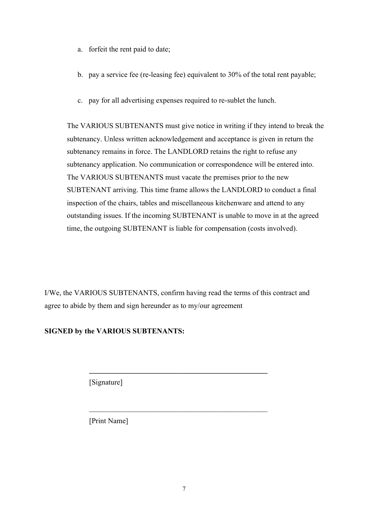- a. forfeit the rent paid to date;
- b. pay a service fee (re-leasing fee) equivalent to 30% of the total rent payable;
- c. pay for all advertising expenses required to re-sublet the lunch.

The VARIOUS SUBTENANTS must give notice in writing if they intend to break the subtenancy. Unless written acknowledgement and acceptance is given in return the subtenancy remains in force. The LANDLORD retains the right to refuse any subtenancy application. No communication or correspondence will be entered into. The VARIOUS SUBTENANTS must vacate the premises prior to the new SUBTENANT arriving. This time frame allows the LANDLORD to conduct a final inspection of the chairs, tables and miscellaneous kitchenware and attend to any outstanding issues. If the incoming SUBTENANT is unable to move in at the agreed time, the outgoing SUBTENANT is liable for compensation (costs involved).

I/We, the VARIOUS SUBTENANTS, confirm having read the terms of this contract and agree to abide by them and sign hereunder as to my/our agreement

**\_\_\_\_\_\_\_\_\_\_\_\_\_\_\_\_\_\_\_\_\_\_\_\_\_\_\_\_\_\_\_\_\_\_\_\_\_\_\_\_\_\_\_\_\_\_\_\_**

 $\mathcal{L}_\text{max}$  , and the contract of the contract of the contract of the contract of the contract of the contract of the contract of the contract of the contract of the contract of the contract of the contract of the contr

## **SIGNED by the VARIOUS SUBTENANTS:**

[Signature]

[Print Name]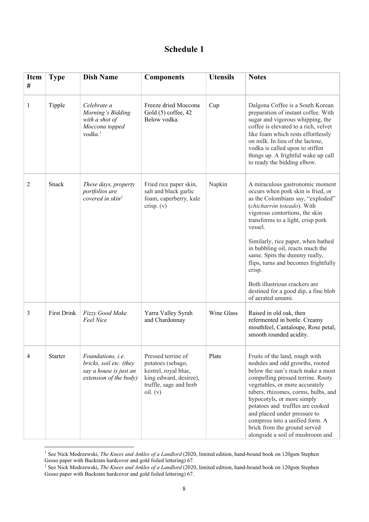## **Schedule 1**

| <b>Item</b><br>$^{\#}$ | <b>Type</b>        | <b>Dish Name</b>                                                                                        | <b>Components</b>                                                                                                               | <b>Utensils</b> | <b>Notes</b>                                                                                                                                                                                                                                                                                                                                                                                                                                                                          |
|------------------------|--------------------|---------------------------------------------------------------------------------------------------------|---------------------------------------------------------------------------------------------------------------------------------|-----------------|---------------------------------------------------------------------------------------------------------------------------------------------------------------------------------------------------------------------------------------------------------------------------------------------------------------------------------------------------------------------------------------------------------------------------------------------------------------------------------------|
| 1                      | Tipple             | Celebrate a<br>Morning's Bidding<br>with a shot of<br>Moccona topped<br>$v$ odka. $1$                   | Freeze dried Moccona<br>Gold (5) coffee, 42<br>Below vodka.                                                                     | Cup             | Dalgona Coffee is a South Korean<br>preparation of instant coffee. With<br>sugar and vigorous whipping, the<br>coffee is elevated to a rich, velvet<br>like foam which rests effortlessly<br>on milk. In lieu of the lactose,<br>vodka is called upon to stiffen<br>things up. A frightful wake up call<br>to ready the bidding elbow.                                                                                                                                                |
| 2                      | Snack              | These days, property<br>portfolios are<br>covered in skin <sup>2</sup>                                  | Fried rice paper skin,<br>salt and black garlic<br>foam, caperberry, kale<br>crisp. $(v)$                                       | Napkin          | A miraculous gastronomic moment<br>occurs when pork skin is fried, or<br>as the Colombians say, "exploded"<br>(chicharrón toteado). With<br>vigorous contortions, the skin<br>transforms to a light, crisp pork<br>vessel.<br>Similarly, rice paper, when bathed<br>in bubbling oil, reacts much the<br>same. Spits the dummy really,<br>flips, turns and becomes frightfully<br>crisp.<br>Both illustrious crackers are<br>destined for a good dip, a fine blob<br>of aerated umami. |
| 3                      | <b>First Drink</b> | Fizzy Good Make<br>Feel Nice                                                                            | Yarra Valley Syrah<br>and Chardonnay                                                                                            | Wine Glass      | Raised in old oak, then<br>refermented in bottle. Creamy<br>mouthfeel, Cantaloupe, Rose petal,<br>smooth rounded acidity.                                                                                                                                                                                                                                                                                                                                                             |
| 4                      | <b>Starter</b>     | Foundations, <i>i.e.</i><br>bricks, soil etc. (they<br>say a house is just an<br>extension of the body) | Pressed terrine of<br>potatoes (sebago,<br>kestrel, royal blue,<br>king edward, desiree),<br>truffle, sage and herb<br>oil. (v) | Plate           | Fruits of the land, rough with<br>nodules and odd growths, rooted<br>below the sun's reach make a most<br>compelling pressed terrine. Rooty<br>vegetables, or more accurately<br>tubers, rhizomes, corms, bulbs, and<br>hypocotyls, or more simply<br>potatoes and truffles are cooked<br>and placed under pressure to<br>compress into a unified form. A<br>brick from the ground served<br>alongside a soil of mushroom and                                                         |

<sup>1</sup> See Nick Modrzewski, *The Knees and Ankles of a Landlord* (2020, limited edition, hand-bound book on 120gsm Stephen Gesso paper with Buckram hardcover and gold foiled lettering) 67.

<sup>2</sup> See Nick Modrzewski, *The Knees and Ankles of a Landlord* (2020, limited edition, hand-bound book on 120gsm Stephen Gesso paper with Buckram hardcover and gold foiled lettering) 67.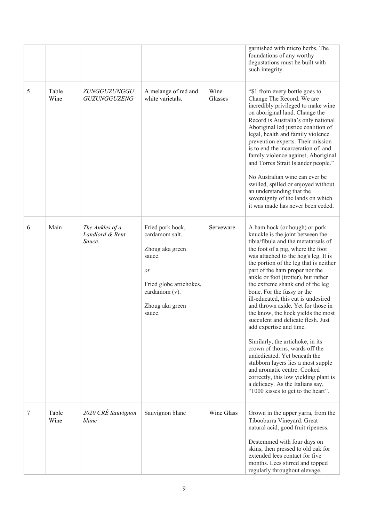|   |               |                                              |                                                                                                                                                |                 | garnished with micro herbs. The<br>foundations of any worthy<br>degustations must be built with<br>such integrity.                                                                                                                                                                                                                                                                                                                                                                                                                                                                                                                                                                                                                                                                                                                                           |
|---|---------------|----------------------------------------------|------------------------------------------------------------------------------------------------------------------------------------------------|-----------------|--------------------------------------------------------------------------------------------------------------------------------------------------------------------------------------------------------------------------------------------------------------------------------------------------------------------------------------------------------------------------------------------------------------------------------------------------------------------------------------------------------------------------------------------------------------------------------------------------------------------------------------------------------------------------------------------------------------------------------------------------------------------------------------------------------------------------------------------------------------|
| 5 | Table<br>Wine | ZUNGGUZUNGGU<br>GUZUNGGUZENG                 | A melange of red and<br>white varietals.                                                                                                       | Wine<br>Glasses | "\$1 from every bottle goes to<br>Change The Record. We are<br>incredibly privileged to make wine<br>on aboriginal land. Change the<br>Record is Australia's only national<br>Aboriginal led justice coalition of<br>legal, health and family violence<br>prevention experts. Their mission<br>is to end the incarceration of, and<br>family violence against, Aboriginal<br>and Torres Strait Islander people."<br>No Australian wine can ever be.<br>swilled, spilled or enjoyed without<br>an understanding that the<br>sovereignty of the lands on which<br>it was made has never been ceded.                                                                                                                                                                                                                                                            |
| 6 | Main          | The Ankles of a<br>Landlord & Rent<br>Sauce. | Fried pork hock,<br>cardamom salt.<br>Zhoug aka green<br>sauce.<br>or<br>Fried globe artichokes,<br>cardamom (v).<br>Zhoug aka green<br>sauce. | Serveware       | A ham hock (or hough) or pork<br>knuckle is the joint between the<br>tibia/fibula and the metatarsals of<br>the foot of a pig, where the foot<br>was attached to the hog's leg. It is<br>the portion of the leg that is neither<br>part of the ham proper nor the<br>ankle or foot (trotter), but rather<br>the extreme shank end of the leg<br>bone. For the fussy or the<br>ill-educated, this cut is undesired<br>and thrown aside. Yet for those in<br>the know, the hock yields the most<br>succulent and delicate flesh. Just<br>add expertise and time.<br>Similarly, the artichoke, in its<br>crown of thorns, wards off the<br>undedicated. Yet beneath the<br>stubborn layers lies a most supple<br>and aromatic centre. Cooked<br>correctly, this low yielding plant is<br>a delicacy. As the Italians say,<br>"1000 kisses to get to the heart". |
| 7 | Table<br>Wine | 2020 CRÉ Sauvignon<br>blanc                  | Sauvignon blanc                                                                                                                                | Wine Glass      | Grown in the upper yarra, from the<br>Tibooburra Vineyard. Great<br>natural acid, good fruit ripeness.<br>Destemmed with four days on                                                                                                                                                                                                                                                                                                                                                                                                                                                                                                                                                                                                                                                                                                                        |
|   |               |                                              |                                                                                                                                                |                 | skins, then pressed to old oak for<br>extended lees contact for five<br>months. Lees stirred and topped<br>regularly throughout elevage.                                                                                                                                                                                                                                                                                                                                                                                                                                                                                                                                                                                                                                                                                                                     |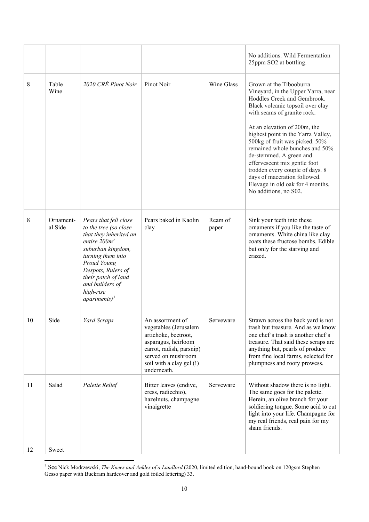|    |                      |                                                                                                                                                                                                                                                      |                                                                                                                                                                                       |                  | No additions. Wild Fermentation<br>25ppm SO2 at bottling.                                                                                                                                                                                                                                                                                                                                                                                                                                            |
|----|----------------------|------------------------------------------------------------------------------------------------------------------------------------------------------------------------------------------------------------------------------------------------------|---------------------------------------------------------------------------------------------------------------------------------------------------------------------------------------|------------------|------------------------------------------------------------------------------------------------------------------------------------------------------------------------------------------------------------------------------------------------------------------------------------------------------------------------------------------------------------------------------------------------------------------------------------------------------------------------------------------------------|
| 8  | Table<br>Wine        | 2020 CRÉ Pinot Noir                                                                                                                                                                                                                                  | Pinot Noir                                                                                                                                                                            | Wine Glass       | Grown at the Tibooburra<br>Vineyard, in the Upper Yarra, near<br>Hoddles Creek and Gembrook.<br>Black volcanic topsoil over clay<br>with seams of granite rock.<br>At an elevation of 200m, the<br>highest point in the Yarra Valley,<br>500kg of fruit was picked. 50%<br>remained whole bunches and 50%<br>de-stemmed. A green and<br>effervescent mix gentle foot<br>trodden every couple of days. 8<br>days of maceration followed.<br>Elevage in old oak for 4 months.<br>No additions, no S02. |
| 8  | Ornament-<br>al Side | Pears that fell close<br>to the tree (so close<br>that they inherited an<br>entire $200m^2$<br>suburban kingdom,<br>turning them into<br>Proud Young<br>Despots, Rulers of<br>their patch of land<br>and builders of<br>high-rise<br>apartments) $3$ | Pears baked in Kaolin<br>clay                                                                                                                                                         | Ream of<br>paper | Sink your teeth into these<br>ornaments if you like the taste of<br>ornaments. White china like clay<br>coats these fructose bombs. Edible<br>but only for the starving and<br>crazed.                                                                                                                                                                                                                                                                                                               |
| 10 | Side                 | Yard Scraps                                                                                                                                                                                                                                          | An assortment of<br>vegetables (Jerusalem<br>artichoke, beetroot,<br>asparagus, heirloom<br>carrot, radish, parsnip)<br>served on mushroom<br>soil with a clay gel (!)<br>underneath. | Serveware        | Strawn across the back yard is not<br>trash but treasure. And as we know<br>one chef's trash is another chef's<br>treasure. That said these scraps are<br>anything but, pearls of produce<br>from fine local farms, selected for<br>plumpness and rooty prowess.                                                                                                                                                                                                                                     |
| 11 | Salad                | Palette Relief                                                                                                                                                                                                                                       | Bitter leaves (endive,<br>cress, radicchio),<br>hazelnuts, champagne<br>vinaigrette                                                                                                   | Serveware        | Without shadow there is no light.<br>The same goes for the palette.<br>Herein, an olive branch for your<br>soldiering tongue. Some acid to cut<br>light into your life. Champagne for<br>my real friends, real pain for my<br>sham friends.                                                                                                                                                                                                                                                          |
| 12 | Sweet                |                                                                                                                                                                                                                                                      |                                                                                                                                                                                       |                  |                                                                                                                                                                                                                                                                                                                                                                                                                                                                                                      |

<sup>3</sup> See Nick Modrzewski, *The Knees and Ankles of a Landlord* (2020, limited edition, hand-bound book on 120gsm Stephen Gesso paper with Buckram hardcover and gold foiled lettering) 33.